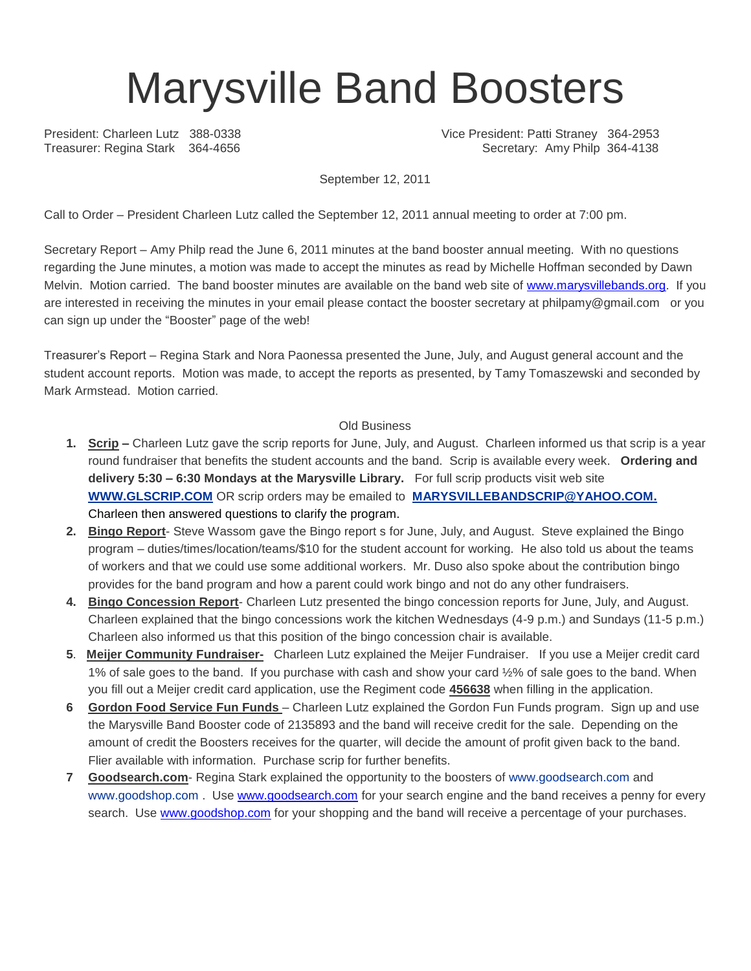## Marysville Band Boosters

President: Charleen Lutz 388-0338 Vice President: Patti Straney 364-2953 Treasurer: Regina Stark 364-4656 Secretary: Amy Philp 364-4138

September 12, 2011

Call to Order – President Charleen Lutz called the September 12, 2011 annual meeting to order at 7:00 pm.

Secretary Report – Amy Philp read the June 6, 2011 minutes at the band booster annual meeting. With no questions regarding the June minutes, a motion was made to accept the minutes as read by Michelle Hoffman seconded by Dawn Melvin. Motion carried. The band booster minutes are available on the band web site of [www.marysvillebands.org.](http://www.marysvillebands.org/) If you are interested in receiving the minutes in your email please contact the booster secretary at philpamy@gmail.com or you can sign up under the "Booster" page of the web!

Treasurer's Report – Regina Stark and Nora Paonessa presented the June, July, and August general account and the student account reports. Motion was made, to accept the reports as presented, by Tamy Tomaszewski and seconded by Mark Armstead. Motion carried.

## Old Business

- **1. Scrip –** Charleen Lutz gave the scrip reports for June, July, and August. Charleen informed us that scrip is a year round fundraiser that benefits the student accounts and the band. Scrip is available every week. **Ordering and delivery 5:30 – 6:30 Mondays at the Marysville Library.** For full scrip products visit web site **[WWW.GLSCRIP.COM](http://www.glscrip.com/%20/%20_blank)** OR scrip orders may be emailed to **[MARYSVILLEBANDSCRIP@YAHOO.COM.](http://us.f838.mail.yahoo.com/ym/Compose?To=MARYSVILLEBANDSCRIP@YAHOO.COM%20/%20_blank)** Charleen then answered questions to clarify the program.
- **2. Bingo Report** Steve Wassom gave the Bingo report s for June, July, and August. Steve explained the Bingo program – duties/times/location/teams/\$10 for the student account for working. He also told us about the teams of workers and that we could use some additional workers. Mr. Duso also spoke about the contribution bingo provides for the band program and how a parent could work bingo and not do any other fundraisers.
- **4. Bingo Concession Report** Charleen Lutz presented the bingo concession reports for June, July, and August. Charleen explained that the bingo concessions work the kitchen Wednesdays (4-9 p.m.) and Sundays (11-5 p.m.) Charleen also informed us that this position of the bingo concession chair is available.
- **5**. **Meijer Community Fundraiser-** Charleen Lutz explained the Meijer Fundraiser. If you use a Meijer credit card 1% of sale goes to the band. If you purchase with cash and show your card ½% of sale goes to the band. When you fill out a Meijer credit card application, use the Regiment code **456638** when filling in the application.
- **6 Gordon Food Service Fun Funds**  Charleen Lutz explained the Gordon Fun Funds program. Sign up and use the Marysville Band Booster code of 2135893 and the band will receive credit for the sale. Depending on the amount of credit the Boosters receives for the quarter, will decide the amount of profit given back to the band. Flier available with information. Purchase scrip for further benefits.
- **7 Goodsearch.com** Regina Stark explained the opportunity to the boosters of [www.goodsearch.com](http://www.goodsearch.com/) and [www.goodshop.com](http://www.goodshop.com/) . Use [www.goodsearch.com](http://www.goodsearch.com/) for your search engine and the band receives a penny for every search. Use [www.goodshop.com](http://www.goodshop.com/) for your shopping and the band will receive a percentage of your purchases.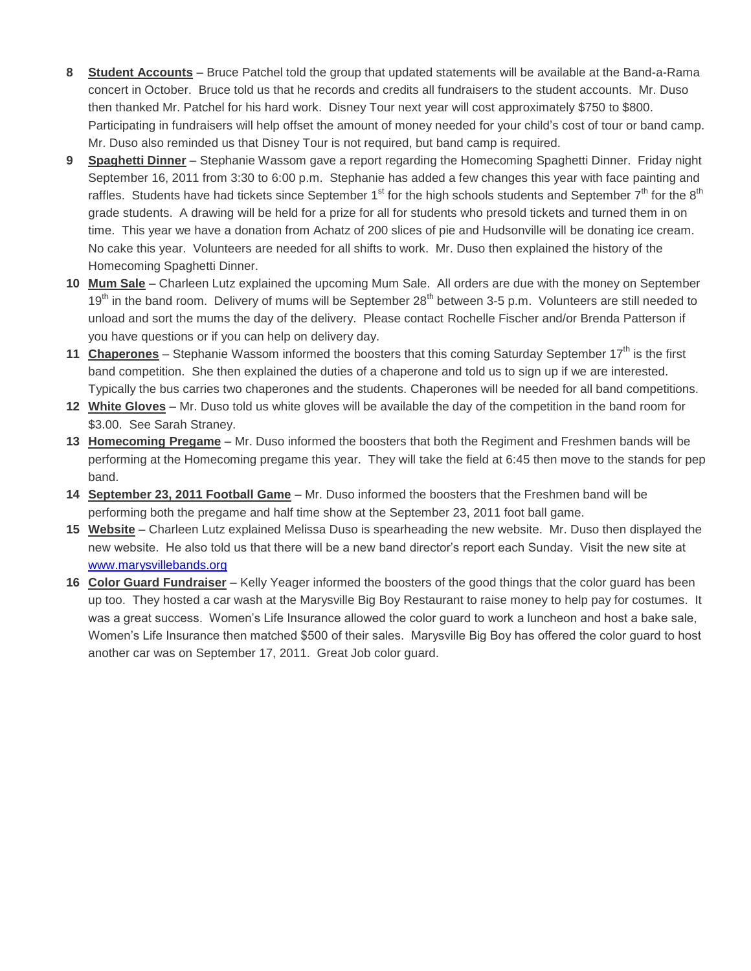- **8 Student Accounts** Bruce Patchel told the group that updated statements will be available at the Band-a-Rama concert in October. Bruce told us that he records and credits all fundraisers to the student accounts. Mr. Duso then thanked Mr. Patchel for his hard work. Disney Tour next year will cost approximately \$750 to \$800. Participating in fundraisers will help offset the amount of money needed for your child's cost of tour or band camp. Mr. Duso also reminded us that Disney Tour is not required, but band camp is required.
- **9 Spaghetti Dinner** Stephanie Wassom gave a report regarding the Homecoming Spaghetti Dinner. Friday night September 16, 2011 from 3:30 to 6:00 p.m. Stephanie has added a few changes this year with face painting and raffles. Students have had tickets since September 1<sup>st</sup> for the high schools students and September  $7<sup>th</sup>$  for the 8<sup>th</sup> grade students. A drawing will be held for a prize for all for students who presold tickets and turned them in on time. This year we have a donation from Achatz of 200 slices of pie and Hudsonville will be donating ice cream. No cake this year. Volunteers are needed for all shifts to work. Mr. Duso then explained the history of the Homecoming Spaghetti Dinner.
- **10 Mum Sale** Charleen Lutz explained the upcoming Mum Sale. All orders are due with the money on September  $19<sup>th</sup>$  in the band room. Delivery of mums will be September 28<sup>th</sup> between 3-5 p.m. Volunteers are still needed to unload and sort the mums the day of the delivery. Please contact Rochelle Fischer and/or Brenda Patterson if you have questions or if you can help on delivery day.
- 11 **Chaperones** Stephanie Wassom informed the boosters that this coming Saturday September 17<sup>th</sup> is the first band competition. She then explained the duties of a chaperone and told us to sign up if we are interested. Typically the bus carries two chaperones and the students. Chaperones will be needed for all band competitions.
- **12 White Gloves** Mr. Duso told us white gloves will be available the day of the competition in the band room for \$3.00. See Sarah Straney.
- **13 Homecoming Pregame** Mr. Duso informed the boosters that both the Regiment and Freshmen bands will be performing at the Homecoming pregame this year. They will take the field at 6:45 then move to the stands for pep band.
- **14 September 23, 2011 Football Game** Mr. Duso informed the boosters that the Freshmen band will be performing both the pregame and half time show at the September 23, 2011 foot ball game.
- **15 Website** Charleen Lutz explained Melissa Duso is spearheading the new website. Mr. Duso then displayed the new website. He also told us that there will be a new band director's report each Sunday. Visit the new site at [www.marysvillebands.org](http://www.marysvillebands.org/)
- **16 Color Guard Fundraiser** Kelly Yeager informed the boosters of the good things that the color guard has been up too. They hosted a car wash at the Marysville Big Boy Restaurant to raise money to help pay for costumes. It was a great success. Women's Life Insurance allowed the color guard to work a luncheon and host a bake sale, Women's Life Insurance then matched \$500 of their sales. Marysville Big Boy has offered the color guard to host another car was on September 17, 2011. Great Job color guard.